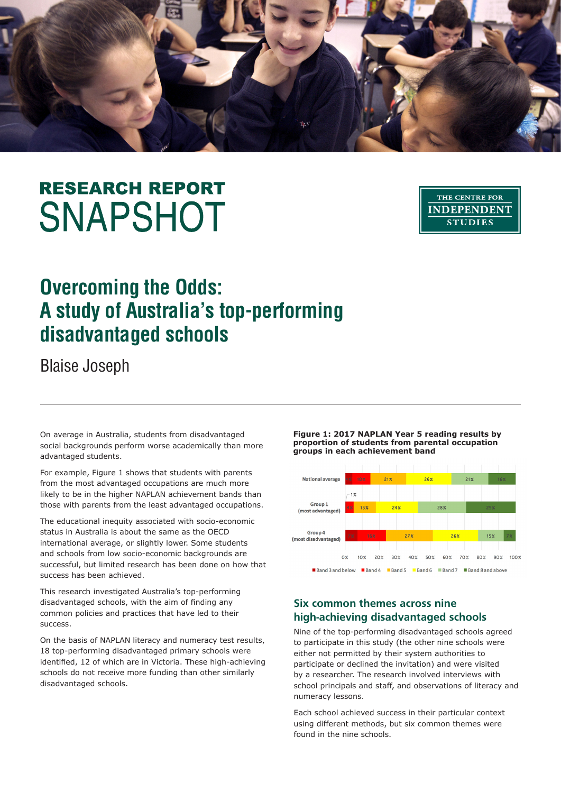

# **RESEARCH REPORT SNAPSHOT**

THE CENTRE FOR **INDEPENDENT STUDIES** 

# **Overcoming the Odds: A study of Australia's top-performing disadvantaged schools**

Blaise Joseph

On average in Australia, students from disadvantaged social backgrounds perform worse academically than more advantaged students.

For example, Figure 1 shows that students with parents from the most advantaged occupations are much more likely to be in the higher NAPLAN achievement bands than those with parents from the least advantaged occupations.

The educational inequity associated with socio-economic status in Australia is about the same as the OECD international average, or slightly lower. Some students and schools from low socio-economic backgrounds are successful, but limited research has been done on how that success has been achieved.

This research investigated Australia's top-performing disadvantaged schools, with the aim of finding any common policies and practices that have led to their success.

On the basis of NAPLAN literacy and numeracy test results, 18 top-performing disadvantaged primary schools were identified, 12 of which are in Victoria. These high-achieving schools do not receive more funding than other similarly disadvantaged schools.

**Figure 1: 2017 NAPLAN Year 5 reading results by proportion of students from parental occupation groups in each achievement band**



## **Six common themes across nine high-achieving disadvantaged schools**

Nine of the top-performing disadvantaged schools agreed to participate in this study (the other nine schools were either not permitted by their system authorities to participate or declined the invitation) and were visited by a researcher. The research involved interviews with school principals and staff, and observations of literacy and numeracy lessons.

Each school achieved success in their particular context using different methods, but six common themes were found in the nine schools.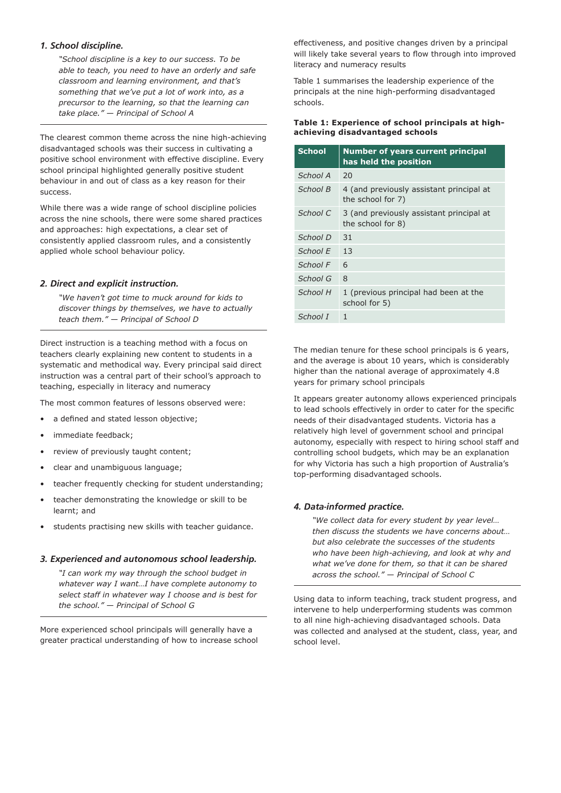#### *1. School discipline.*

*"School discipline is a key to our success. To be able to teach, you need to have an orderly and safe classroom and learning environment, and that's something that we've put a lot of work into, as a precursor to the learning, so that the learning can take place." — Principal of School A*

The clearest common theme across the nine high-achieving disadvantaged schools was their success in cultivating a positive school environment with effective discipline. Every school principal highlighted generally positive student behaviour in and out of class as a key reason for their success.

While there was a wide range of school discipline policies across the nine schools, there were some shared practices and approaches: high expectations, a clear set of consistently applied classroom rules, and a consistently applied whole school behaviour policy.

#### *2. Direct and explicit instruction.*

*"We haven't got time to muck around for kids to discover things by themselves, we have to actually teach them." — Principal of School D*

Direct instruction is a teaching method with a focus on teachers clearly explaining new content to students in a systematic and methodical way. Every principal said direct instruction was a central part of their school's approach to teaching, especially in literacy and numeracy

The most common features of lessons observed were:

- a defined and stated lesson objective:
- immediate feedback;
- review of previously taught content;
- clear and unambiguous language;
- teacher frequently checking for student understanding;
- teacher demonstrating the knowledge or skill to be learnt; and
- students practising new skills with teacher guidance.

#### *3. Experienced and autonomous school leadership.*

*"I can work my way through the school budget in whatever way I want…I have complete autonomy to select staff in whatever way I choose and is best for the school." — Principal of School G*

More experienced school principals will generally have a greater practical understanding of how to increase school effectiveness, and positive changes driven by a principal will likely take several years to flow through into improved literacy and numeracy results

Table 1 summarises the leadership experience of the principals at the nine high-performing disadvantaged schools.

#### **Table 1: Experience of school principals at highachieving disadvantaged schools**

| <b>School</b> | Number of years current principal<br>has held the position    |
|---------------|---------------------------------------------------------------|
| School A      | 20                                                            |
| School B      | 4 (and previously assistant principal at<br>the school for 7) |
| School C      | 3 (and previously assistant principal at<br>the school for 8) |
| School D      | 31                                                            |
| School E      | 13                                                            |
| School F      | 6                                                             |
| School G      | 8                                                             |
| School H      | 1 (previous principal had been at the<br>school for 5)        |
| School I      | 1                                                             |

The median tenure for these school principals is 6 years, and the average is about 10 years, which is considerably higher than the national average of approximately 4.8 years for primary school principals

It appears greater autonomy allows experienced principals to lead schools effectively in order to cater for the specific needs of their disadvantaged students. Victoria has a relatively high level of government school and principal autonomy, especially with respect to hiring school staff and controlling school budgets, which may be an explanation for why Victoria has such a high proportion of Australia's top-performing disadvantaged schools.

#### *4. Data-informed practice.*

*"We collect data for every student by year level… then discuss the students we have concerns about… but also celebrate the successes of the students who have been high-achieving, and look at why and what we've done for them, so that it can be shared across the school." — Principal of School C*

Using data to inform teaching, track student progress, and intervene to help underperforming students was common to all nine high-achieving disadvantaged schools. Data was collected and analysed at the student, class, year, and school level.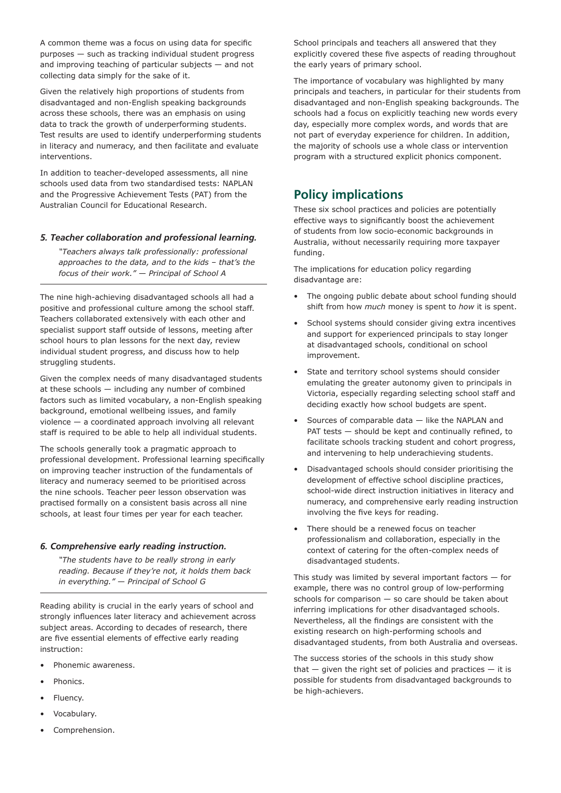A common theme was a focus on using data for specific purposes — such as tracking individual student progress and improving teaching of particular subjects — and not collecting data simply for the sake of it.

Given the relatively high proportions of students from disadvantaged and non-English speaking backgrounds across these schools, there was an emphasis on using data to track the growth of underperforming students. Test results are used to identify underperforming students in literacy and numeracy, and then facilitate and evaluate interventions.

In addition to teacher-developed assessments, all nine schools used data from two standardised tests: NAPLAN and the Progressive Achievement Tests (PAT) from the Australian Council for Educational Research.

#### *5. Teacher collaboration and professional learning.*

*"Teachers always talk professionally: professional approaches to the data, and to the kids – that's the focus of their work." — Principal of School A*

The nine high-achieving disadvantaged schools all had a positive and professional culture among the school staff. Teachers collaborated extensively with each other and specialist support staff outside of lessons, meeting after school hours to plan lessons for the next day, review individual student progress, and discuss how to help struggling students.

Given the complex needs of many disadvantaged students at these schools — including any number of combined factors such as limited vocabulary, a non-English speaking background, emotional wellbeing issues, and family violence — a coordinated approach involving all relevant staff is required to be able to help all individual students.

The schools generally took a pragmatic approach to professional development. Professional learning specifically on improving teacher instruction of the fundamentals of literacy and numeracy seemed to be prioritised across the nine schools. Teacher peer lesson observation was practised formally on a consistent basis across all nine schools, at least four times per year for each teacher.

#### *6. Comprehensive early reading instruction.*

*"The students have to be really strong in early reading. Because if they're not, it holds them back in everything." — Principal of School G*

Reading ability is crucial in the early years of school and strongly influences later literacy and achievement across subject areas. According to decades of research, there are five essential elements of effective early reading instruction:

- Phonemic awareness.
- Phonics.
- Fluency.
- Vocabulary.
- Comprehension.

School principals and teachers all answered that they explicitly covered these five aspects of reading throughout the early years of primary school.

The importance of vocabulary was highlighted by many principals and teachers, in particular for their students from disadvantaged and non-English speaking backgrounds. The schools had a focus on explicitly teaching new words every day, especially more complex words, and words that are not part of everyday experience for children. In addition, the majority of schools use a whole class or intervention program with a structured explicit phonics component.

## **Policy implications**

These six school practices and policies are potentially effective ways to significantly boost the achievement of students from low socio-economic backgrounds in Australia, without necessarily requiring more taxpayer funding.

The implications for education policy regarding disadvantage are:

- The ongoing public debate about school funding should shift from how *much* money is spent to *how* it is spent.
- School systems should consider giving extra incentives and support for experienced principals to stay longer at disadvantaged schools, conditional on school improvement.
- State and territory school systems should consider emulating the greater autonomy given to principals in Victoria, especially regarding selecting school staff and deciding exactly how school budgets are spent.
- Sources of comparable data like the NAPLAN and PAT tests — should be kept and continually refined, to facilitate schools tracking student and cohort progress, and intervening to help underachieving students.
- Disadvantaged schools should consider prioritising the development of effective school discipline practices, school-wide direct instruction initiatives in literacy and numeracy, and comprehensive early reading instruction involving the five keys for reading.
- There should be a renewed focus on teacher professionalism and collaboration, especially in the context of catering for the often-complex needs of disadvantaged students.

This study was limited by several important factors — for example, there was no control group of low-performing schools for comparison — so care should be taken about inferring implications for other disadvantaged schools. Nevertheless, all the findings are consistent with the existing research on high-performing schools and disadvantaged students, from both Australia and overseas.

The success stories of the schools in this study show that  $-$  given the right set of policies and practices  $-$  it is possible for students from disadvantaged backgrounds to be high-achievers.